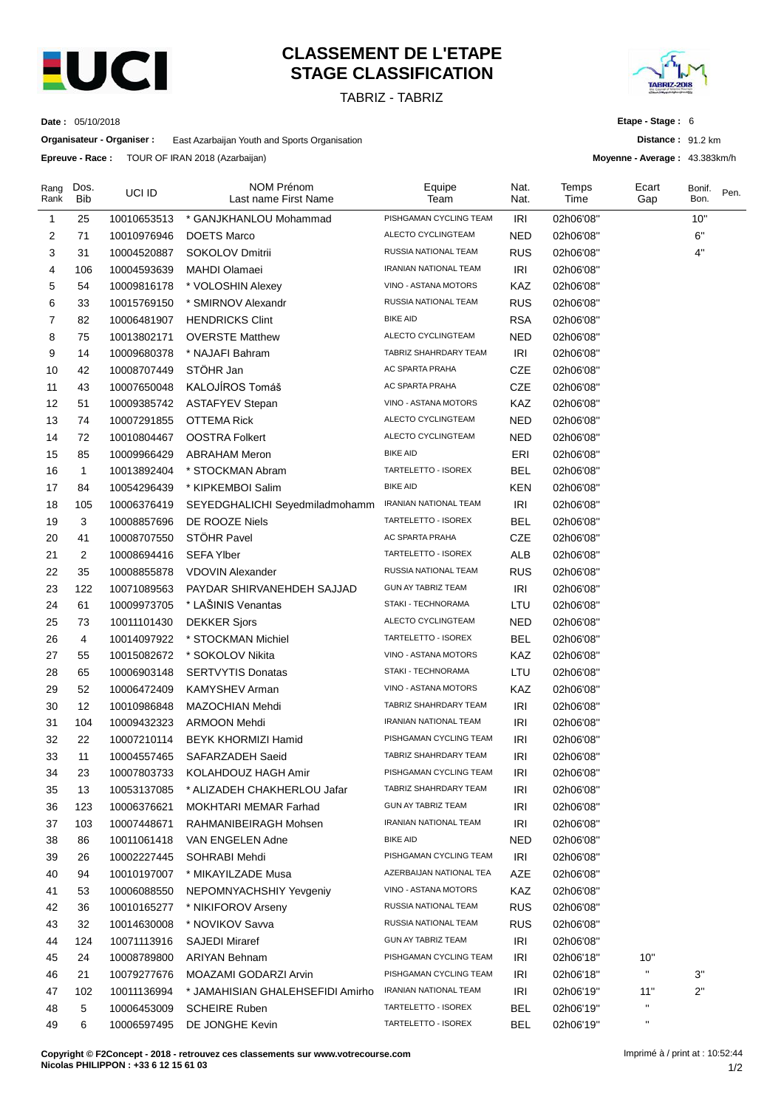

# **CLASSEMENT DE L'ETAPE STAGE CLASSIFICATION**

TABRIZ - TABRIZ



**Distance :** 91.2 km **Moyenne - Average :** 43.383km/h

**Etape - Stage :** 6

**Date :** 05/10/2018

**Organisateur - Organiser :** East Azarbaijan Youth and Sports Organisation

**Epreuve - Race :** TOUR OF IRAN 2018 (Azarbaijan)

| Rang<br>Rank | Dos.<br><b>Bib</b> | UCI ID      | <b>NOM Prénom</b><br>Last name First Name     | Equipe<br>Team                                   | Nat.<br>Nat. | Temps<br>Time | Ecart<br>Gap              | Bonif.<br>Bon. | Pen. |
|--------------|--------------------|-------------|-----------------------------------------------|--------------------------------------------------|--------------|---------------|---------------------------|----------------|------|
| 1            | 25                 | 10010653513 | * GANJKHANLOU Mohammad                        | PISHGAMAN CYCLING TEAM                           | IRI          | 02h06'08"     |                           | 10"            |      |
| 2            | 71                 | 10010976946 | DOETS Marco                                   | ALECTO CYCLINGTEAM                               | NED          | 02h06'08"     |                           | 6"             |      |
| 3            | 31                 | 10004520887 | SOKOLOV Dmitrii                               | RUSSIA NATIONAL TEAM                             | <b>RUS</b>   | 02h06'08"     |                           | 4"             |      |
| 4            | 106                | 10004593639 | MAHDI Olamaei                                 | IRANIAN NATIONAL TEAM                            | IRI          | 02h06'08"     |                           |                |      |
| 5            | 54                 | 10009816178 | * VOLOSHIN Alexey                             | VINO - ASTANA MOTORS                             | KAZ          | 02h06'08"     |                           |                |      |
| 6            | 33                 | 10015769150 | * SMIRNOV Alexandr                            | RUSSIA NATIONAL TEAM                             | <b>RUS</b>   | 02h06'08"     |                           |                |      |
| 7            | 82                 | 10006481907 | <b>HENDRICKS Clint</b>                        | <b>BIKE AID</b>                                  | <b>RSA</b>   | 02h06'08"     |                           |                |      |
| 8            | 75                 | 10013802171 | <b>OVERSTE Matthew</b>                        | ALECTO CYCLINGTEAM                               | NED          | 02h06'08"     |                           |                |      |
| 9            | 14                 | 10009680378 | * NAJAFI Bahram                               | TABRIZ SHAHRDARY TEAM                            | <b>IRI</b>   | 02h06'08"     |                           |                |      |
| 10           | 42                 | 10008707449 | STÖHR Jan                                     | AC SPARTA PRAHA                                  | <b>CZE</b>   | 02h06'08"     |                           |                |      |
| 11           | 43                 | 10007650048 | KALOJÍROS Tomáš                               | AC SPARTA PRAHA                                  | CZE          | 02h06'08"     |                           |                |      |
| 12           | 51                 | 10009385742 | <b>ASTAFYEV Stepan</b>                        | VINO - ASTANA MOTORS                             | KAZ          | 02h06'08"     |                           |                |      |
| 13           | 74                 | 10007291855 | <b>OTTEMA Rick</b>                            | ALECTO CYCLINGTEAM                               | <b>NED</b>   | 02h06'08"     |                           |                |      |
| 14           | 72                 | 10010804467 | <b>OOSTRA Folkert</b>                         | ALECTO CYCLINGTEAM                               | <b>NED</b>   | 02h06'08"     |                           |                |      |
| 15           | 85                 | 10009966429 | <b>ABRAHAM Meron</b>                          | <b>BIKE AID</b>                                  | ERI          | 02h06'08"     |                           |                |      |
| 16           | $\mathbf{1}$       | 10013892404 | * STOCKMAN Abram                              | TARTELETTO - ISOREX                              | <b>BEL</b>   | 02h06'08"     |                           |                |      |
| 17           | 84                 | 10054296439 | * KIPKEMBOI Salim                             | <b>BIKE AID</b>                                  | <b>KEN</b>   | 02h06'08"     |                           |                |      |
| 18           | 105                | 10006376419 | SEYEDGHALICHI Seyedmiladmohamm                | IRANIAN NATIONAL TEAM                            | IRI          | 02h06'08"     |                           |                |      |
| 19           | 3                  | 10008857696 | DE ROOZE Niels                                | TARTELETTO - ISOREX                              | <b>BEL</b>   | 02h06'08"     |                           |                |      |
| 20           | 41                 | 10008707550 | STÖHR Pavel                                   | AC SPARTA PRAHA                                  | <b>CZE</b>   | 02h06'08"     |                           |                |      |
| 21           | 2                  | 10008694416 | <b>SEFA Ylber</b>                             | TARTELETTO - ISOREX                              | <b>ALB</b>   | 02h06'08"     |                           |                |      |
| 22           | 35                 | 10008855878 | <b>VDOVIN Alexander</b>                       | RUSSIA NATIONAL TEAM                             | <b>RUS</b>   | 02h06'08"     |                           |                |      |
| 23           | 122                | 10071089563 | PAYDAR SHIRVANEHDEH SAJJAD                    | <b>GUN AY TABRIZ TEAM</b>                        | IRI          | 02h06'08"     |                           |                |      |
| 24           | 61                 | 10009973705 | * LAŠINIS Venantas                            | STAKI - TECHNORAMA                               | LTU          | 02h06'08"     |                           |                |      |
| 25           | 73                 | 10011101430 | <b>DEKKER Sjors</b>                           | ALECTO CYCLINGTEAM                               | <b>NED</b>   | 02h06'08"     |                           |                |      |
| 26           | 4                  | 10014097922 | * STOCKMAN Michiel                            | TARTELETTO - ISOREX                              | <b>BEL</b>   | 02h06'08"     |                           |                |      |
| 27           | 55                 | 10015082672 | * SOKOLOV Nikita                              | VINO - ASTANA MOTORS                             | KAZ          | 02h06'08"     |                           |                |      |
| 28           | 65                 | 10006903148 | <b>SERTVYTIS Donatas</b>                      | STAKI - TECHNORAMA                               | LTU          | 02h06'08"     |                           |                |      |
| 29           | 52                 | 10006472409 | KAMYSHEV Arman                                | VINO - ASTANA MOTORS                             | KAZ          | 02h06'08"     |                           |                |      |
| 30           | 12                 | 10010986848 | MAZOCHIAN Mehdi                               | TABRIZ SHAHRDARY TEAM                            | <b>IRI</b>   | 02h06'08"     |                           |                |      |
| 31           | 104                | 10009432323 | <b>ARMOON Mehdi</b>                           | <b>IRANIAN NATIONAL TEAM</b>                     | <b>IRI</b>   | 02h06'08"     |                           |                |      |
| 32           | 22                 | 10007210114 | BEYK KHORMIZI Hamid                           | PISHGAMAN CYCLING TEAM                           | <b>IRI</b>   | 02h06'08"     |                           |                |      |
| 33           | 11                 | 10004557465 | SAFARZADEH Saeid                              | TABRIZ SHAHRDARY TEAM                            | <b>IRI</b>   | 02h06'08"     |                           |                |      |
| 34           | 23                 | 10007803733 | KOLAHDOUZ HAGH Amir                           | PISHGAMAN CYCLING TEAM                           | IRI          | 02h06'08"     |                           |                |      |
| 35           | 13                 | 10053137085 | * ALIZADEH CHAKHERLOU Jafar                   | TABRIZ SHAHRDARY TEAM                            | IRI          | 02h06'08"     |                           |                |      |
| 36           | 123                | 10006376621 | <b>MOKHTARI MEMAR Farhad</b>                  | GUN AY TABRIZ TEAM                               | <b>IRI</b>   | 02h06'08"     |                           |                |      |
| 37           | 103                | 10007448671 | RAHMANIBEIRAGH Mohsen                         | IRANIAN NATIONAL TEAM                            | <b>IRI</b>   | 02h06'08"     |                           |                |      |
| 38           |                    |             |                                               | <b>BIKE AID</b>                                  |              |               |                           |                |      |
| 39           | 86                 | 10011061418 | VAN ENGELEN Adne                              | PISHGAMAN CYCLING TEAM                           | NED<br>IRI   | 02h06'08"     |                           |                |      |
| 40           | 26                 | 10002227445 | SOHRABI Mehdi                                 | AZERBAIJAN NATIONAL TEA                          | AZE          | 02h06'08"     |                           |                |      |
| 41           | 94                 | 10010197007 | * MIKAYILZADE Musa<br>NEPOMNYACHSHIY Yevgeniy | VINO - ASTANA MOTORS                             | KAZ          | 02h06'08"     |                           |                |      |
| 42           | 53                 | 10006088550 |                                               | RUSSIA NATIONAL TEAM                             | <b>RUS</b>   | 02h06'08"     |                           |                |      |
|              | 36                 | 10010165277 | * NIKIFOROV Arseny<br>* NOVIKOV Savva         | RUSSIA NATIONAL TEAM                             |              | 02h06'08"     |                           |                |      |
| 43<br>44     | 32                 | 10014630008 |                                               | GUN AY TABRIZ TEAM                               | <b>RUS</b>   | 02h06'08"     |                           |                |      |
|              | 124                | 10071113916 | <b>SAJEDI Miraref</b>                         |                                                  | <b>IRI</b>   | 02h06'08"     |                           |                |      |
| 45           | 24                 | 10008789800 | <b>ARIYAN Behnam</b>                          | PISHGAMAN CYCLING TEAM<br>PISHGAMAN CYCLING TEAM | <b>IRI</b>   | 02h06'18"     | 10"<br>$\mathbf{H}$       |                |      |
| 46           | 21                 | 10079277676 | MOAZAMI GODARZI Arvin                         |                                                  | IRI          | 02h06'18"     |                           | 3"             |      |
| 47           | 102                | 10011136994 | * JAMAHISIAN GHALEHSEFIDI Amirho              | IRANIAN NATIONAL TEAM                            | IRI          | 02h06'19"     | 11"<br>$\pmb{\mathsf{H}}$ | 2"             |      |
| 48           | 5                  | 10006453009 | <b>SCHEIRE Ruben</b>                          | TARTELETTO - ISOREX                              | <b>BEL</b>   | 02h06'19"     |                           |                |      |
| 49           | 6                  | 10006597495 | DE JONGHE Kevin                               | TARTELETTO - ISOREX                              | <b>BEL</b>   | 02h06'19"     |                           |                |      |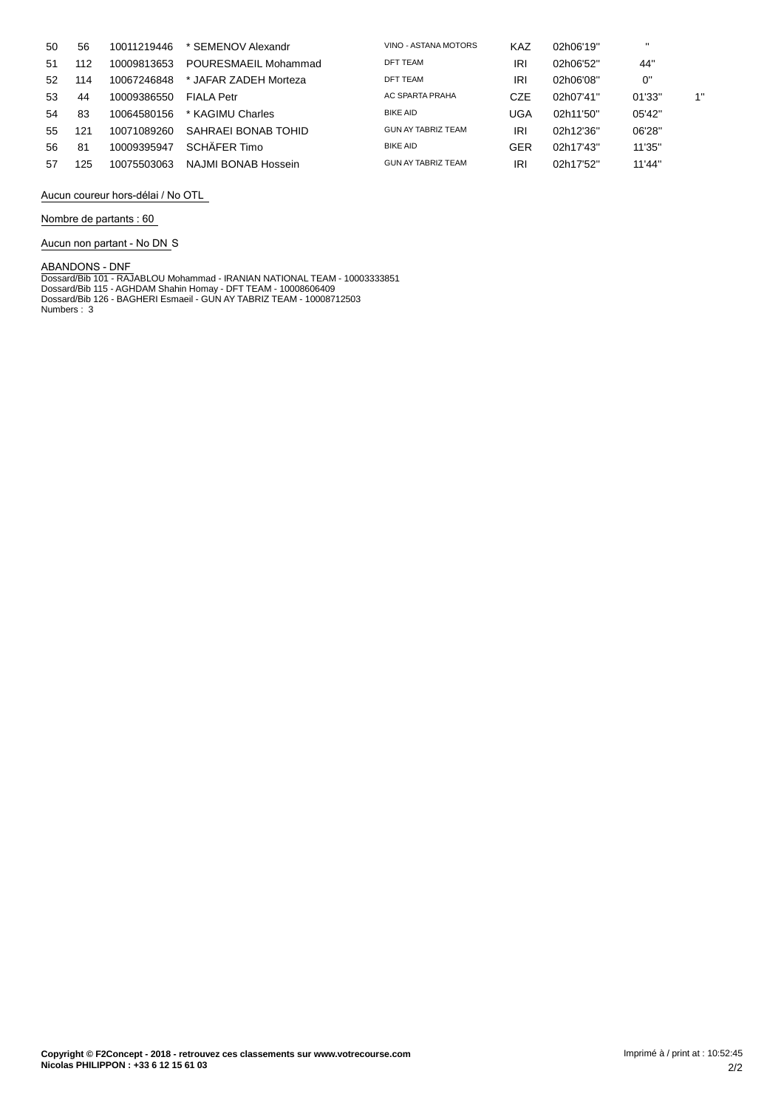| 50  | 56  | 10011219446 | * SEMENOV Alexandr    | VINO - ASTANA MOTORS | <b>KAZ</b> | 02h06'19" | $\mathbf{u}$ |    |
|-----|-----|-------------|-----------------------|----------------------|------------|-----------|--------------|----|
| -51 | 112 | 10009813653 | POURESMAEIL Mohammad  | DFT TEAM             | IRI        | 02h06'52" | 44"          |    |
| 52  | 114 | 10067246848 | * JAFAR ZADEH Morteza | <b>DFT TEAM</b>      | IRI        | 02h06'08" | 0"           |    |
| 53  | 44  | 10009386550 | <b>FIALA Petr</b>     | AC SPARTA PRAHA      | CZE        | 02h07'41" | 01'33"       | 1" |
| 54  | 83  | 10064580156 | * KAGIMU Charles      | <b>BIKE AID</b>      | UGA        | 02h11'50" | 05'42"       |    |
| 55  | 121 | 10071089260 | SAHRAEI BONAB TOHID   | GUN AY TABRIZ TEAM   | IRI        | 02h12'36" | 06'28"       |    |
| 56  | 81  | 10009395947 | SCHÄFFR Timo          | <b>BIKE AID</b>      | GER        | 02h17'43" | 11'35"       |    |
| 57  | 125 | 10075503063 | NAJMI BONAB Hossein   | GUN AY TABRIZ TEAM   | IRI        | 02h17'52" | 11'44"       |    |

**Aucun coureur hors-dÈlai / No OTL**

**Nombre de partants : 60**

**Aucun non partant - No DN** S

ABANDONS - DNF<br>Dossard/Bib 101 - RAJABLOU Mohammad - IRANIAN NATIONAL TEAM - 10003333851<br>Dossard/Bib 115 - AGHDAM Shahin Homay - DFT TEAM - 10008606409<br>Dossard/Bib 126 - BAGHERI Esmaeil - GUN AY TABRIZ TEAM - 10008712503<br>N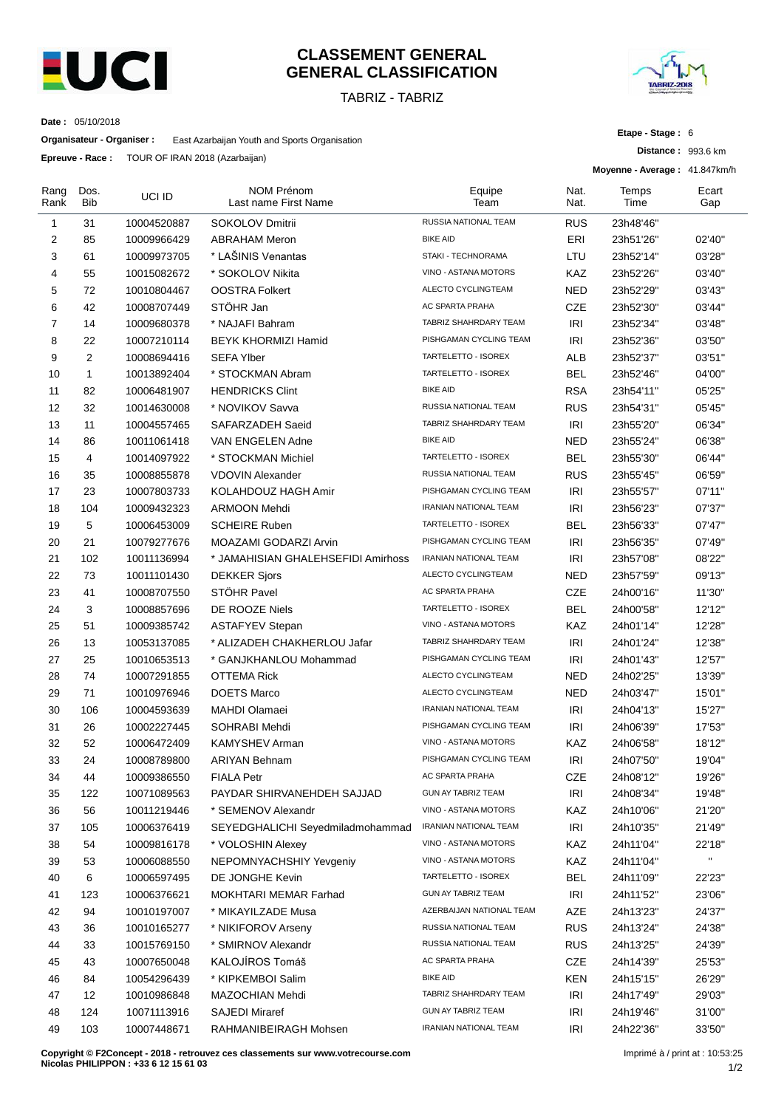

### **CLASSEMENT GENERAL GENERAL CLASSIFICATION**

TABRIZ - TABRIZ



**Etape - Stage :** 6

**Distance :** 993.6 km

**Date :** 05/10/2018

**Organisateur - Organiser :** East Azarbaijan Youth and Sports Organisation

**Epreuve - Race :** TOUR OF IRAN 2018 (Azarbaijan)

|                |              | <b>Nave:</b> 1996 91 10 10 2010 ( <i>Algority Legislation</i> ) |                                           |                              | Moyenne - Average: 41.847km/h |               |              |
|----------------|--------------|-----------------------------------------------------------------|-------------------------------------------|------------------------------|-------------------------------|---------------|--------------|
| Rang<br>Rank   | Dos.<br>Bib  | UCI ID                                                          | <b>NOM Prénom</b><br>Last name First Name | Equipe<br>Team               | Nat.<br>Nat.                  | Temps<br>Time | Ecart<br>Gap |
| $\mathbf{1}$   | 31           | 10004520887                                                     | SOKOLOV Dmitrii                           | RUSSIA NATIONAL TEAM         | <b>RUS</b>                    | 23h48'46"     |              |
| 2              | 85           | 10009966429                                                     | <b>ABRAHAM Meron</b>                      | <b>BIKE AID</b>              | ERI                           | 23h51'26"     | 02'40"       |
| 3              | 61           | 10009973705                                                     | * LAŠINIS Venantas                        | STAKI - TECHNORAMA           | LTU                           | 23h52'14"     | 03'28"       |
| 4              | 55           | 10015082672                                                     | * SOKOLOV Nikita                          | VINO - ASTANA MOTORS         | KAZ                           | 23h52'26"     | 03'40"       |
| 5              | 72           | 10010804467                                                     | <b>OOSTRA Folkert</b>                     | ALECTO CYCLINGTEAM           | <b>NED</b>                    | 23h52'29"     | 03'43"       |
| 6              | 42           | 10008707449                                                     | STÖHR Jan                                 | AC SPARTA PRAHA              | <b>CZE</b>                    | 23h52'30"     | 03'44"       |
| $\overline{7}$ | 14           | 10009680378                                                     | * NAJAFI Bahram                           | TABRIZ SHAHRDARY TEAM        | IRI                           | 23h52'34"     | 03'48"       |
| 8              | 22           | 10007210114                                                     | <b>BEYK KHORMIZI Hamid</b>                | PISHGAMAN CYCLING TEAM       | IRI                           | 23h52'36"     | 03'50"       |
| 9              | 2            | 10008694416                                                     | <b>SEFA Ylber</b>                         | TARTELETTO - ISOREX          | ALB                           | 23h52'37"     | 03'51"       |
| 10             | $\mathbf{1}$ | 10013892404                                                     | * STOCKMAN Abram                          | TARTELETTO - ISOREX          | <b>BEL</b>                    | 23h52'46"     | 04'00"       |
| 11             | 82           | 10006481907                                                     | <b>HENDRICKS Clint</b>                    | <b>BIKE AID</b>              | <b>RSA</b>                    | 23h54'11"     | 05'25"       |
| 12             | 32           | 10014630008                                                     | * NOVIKOV Savva                           | RUSSIA NATIONAL TEAM         | <b>RUS</b>                    | 23h54'31"     | 05'45"       |
| 13             | 11           | 10004557465                                                     | SAFARZADEH Saeid                          | TABRIZ SHAHRDARY TEAM        | IRI                           | 23h55'20"     | 06'34"       |
| 14             | 86           | 10011061418                                                     | VAN ENGELEN Adne                          | <b>BIKE AID</b>              | <b>NED</b>                    | 23h55'24"     | 06'38"       |
| 15             | 4            | 10014097922                                                     | * STOCKMAN Michiel                        | TARTELETTO - ISOREX          | <b>BEL</b>                    | 23h55'30"     | 06'44"       |
| 16             | 35           | 10008855878                                                     | <b>VDOVIN Alexander</b>                   | RUSSIA NATIONAL TEAM         | <b>RUS</b>                    | 23h55'45"     | 06'59"       |
| 17             | 23           | 10007803733                                                     | KOLAHDOUZ HAGH Amir                       | PISHGAMAN CYCLING TEAM       | <b>IRI</b>                    | 23h55'57"     | 07'11"       |
| 18             | 104          | 10009432323                                                     | <b>ARMOON Mehdi</b>                       | <b>IRANIAN NATIONAL TEAM</b> | <b>IRI</b>                    | 23h56'23"     | 07'37"       |
| 19             | 5            | 10006453009                                                     | <b>SCHEIRE Ruben</b>                      | TARTELETTO - ISOREX          | <b>BEL</b>                    | 23h56'33"     | 07'47"       |
| 20             | 21           | 10079277676                                                     | MOAZAMI GODARZI Arvin                     | PISHGAMAN CYCLING TEAM       | <b>IRI</b>                    | 23h56'35"     | 07'49"       |
| 21             | 102          | 10011136994                                                     | * JAMAHISIAN GHALEHSEFIDI Amirhoss        | IRANIAN NATIONAL TEAM        | IRI                           | 23h57'08"     | 08'22"       |
| 22             | 73           | 10011101430                                                     | <b>DEKKER Sjors</b>                       | ALECTO CYCLINGTEAM           | <b>NED</b>                    | 23h57'59"     | 09'13"       |
| 23             | 41           | 10008707550                                                     | STÖHR Pavel                               | AC SPARTA PRAHA              | <b>CZE</b>                    | 24h00'16"     | 11'30"       |
| 24             | 3            | 10008857696                                                     | DE ROOZE Niels                            | TARTELETTO - ISOREX          | <b>BEL</b>                    | 24h00'58"     | 12'12"       |
| 25             | 51           | 10009385742                                                     | <b>ASTAFYEV Stepan</b>                    | VINO - ASTANA MOTORS         | KAZ                           | 24h01'14"     | 12'28"       |
| 26             | 13           | 10053137085                                                     | * ALIZADEH CHAKHERLOU Jafar               | TABRIZ SHAHRDARY TEAM        | IRI                           | 24h01'24"     | 12'38"       |
| 27             | 25           | 10010653513                                                     | * GANJKHANLOU Mohammad                    | PISHGAMAN CYCLING TEAM       | IRI                           | 24h01'43"     | 12'57"       |
| 28             | 74           | 10007291855                                                     | <b>OTTEMA Rick</b>                        | ALECTO CYCLINGTEAM           | <b>NED</b>                    | 24h02'25"     | 13'39"       |
| 29             | 71           | 10010976946                                                     | <b>DOETS Marco</b>                        | ALECTO CYCLINGTEAM           | <b>NED</b>                    | 24h03'47"     | 15'01"       |
| 30             | 106          | 10004593639                                                     | <b>MAHDI Olamaei</b>                      | IRANIAN NATIONAL TEAM        | IRI                           | 24h04'13"     | 15'27"       |
| 31             | 26           | 10002227445                                                     | SOHRABI Mehdi                             | PISHGAMAN CYCLING TEAM       | IRI                           | 24h06'39"     | 17'53"       |
| 32             | 52           | 10006472409                                                     | <b>KAMYSHEV Arman</b>                     | VINO - ASTANA MOTORS         | KAZ                           | 24h06'58"     | 18'12"       |
| 33             | 24           | 10008789800                                                     | <b>ARIYAN Behnam</b>                      | PISHGAMAN CYCLING TEAM       | IRI                           | 24h07'50"     | 19'04"       |
| 34             | 44           | 10009386550                                                     | <b>FIALA Petr</b>                         | AC SPARTA PRAHA              | <b>CZE</b>                    | 24h08'12"     | 19'26"       |
| 35             | 122          | 10071089563                                                     | PAYDAR SHIRVANEHDEH SAJJAD                | GUN AY TABRIZ TEAM           | IRI                           | 24h08'34"     | 19'48"       |
| 36             | 56           | 10011219446                                                     | * SEMENOV Alexandr                        | VINO - ASTANA MOTORS         | KAZ                           | 24h10'06"     | 21'20"       |
| 37             | 105          | 10006376419                                                     | SEYEDGHALICHI Seyedmiladmohammad          | IRANIAN NATIONAL TEAM        | IRI                           | 24h10'35"     | 21'49"       |
| 38             | 54           | 10009816178                                                     | * VOLOSHIN Alexey                         | VINO - ASTANA MOTORS         | KAZ                           | 24h11'04"     | 22'18"       |
| 39             | 53           | 10006088550                                                     | NEPOMNYACHSHIY Yevgeniy                   | VINO - ASTANA MOTORS         | KAZ                           | 24h11'04"     | $\mathbf{u}$ |
| 40             | 6            | 10006597495                                                     | DE JONGHE Kevin                           | TARTELETTO - ISOREX          | <b>BEL</b>                    | 24h11'09"     | 22'23"       |
| 41             | 123          | 10006376621                                                     | MOKHTARI MEMAR Farhad                     | <b>GUN AY TABRIZ TEAM</b>    | IRI                           | 24h11'52"     | 23'06"       |
| 42             | 94           | 10010197007                                                     | * MIKAYILZADE Musa                        | AZERBAIJAN NATIONAL TEAM     | AZE                           | 24h13'23"     | 24'37"       |
| 43             | 36           | 10010165277                                                     | * NIKIFOROV Arseny                        | RUSSIA NATIONAL TEAM         | <b>RUS</b>                    | 24h13'24"     | 24'38"       |
| 44             | 33           | 10015769150                                                     | * SMIRNOV Alexandr                        | RUSSIA NATIONAL TEAM         | <b>RUS</b>                    | 24h13'25"     | 24'39"       |
| 45             | 43           | 10007650048                                                     | KALOJÍROS Tomáš                           | AC SPARTA PRAHA              | CZE                           | 24h14'39"     | 25'53"       |
| 46             | 84           | 10054296439                                                     | * KIPKEMBOI Salim                         | <b>BIKE AID</b>              | <b>KEN</b>                    | 24h15'15"     | 26'29"       |
| 47             | 12           | 10010986848                                                     | MAZOCHIAN Mehdi                           | TABRIZ SHAHRDARY TEAM        | IRI                           | 24h17'49"     | 29'03"       |
| 48             | 124          | 10071113916                                                     | <b>SAJEDI Miraref</b>                     | <b>GUN AY TABRIZ TEAM</b>    | <b>IRI</b>                    | 24h19'46"     | 31'00"       |
| 49             | 103          | 10007448671                                                     | RAHMANIBEIRAGH Mohsen                     | IRANIAN NATIONAL TEAM        | <b>IRI</b>                    | 24h22'36"     | 33'50"       |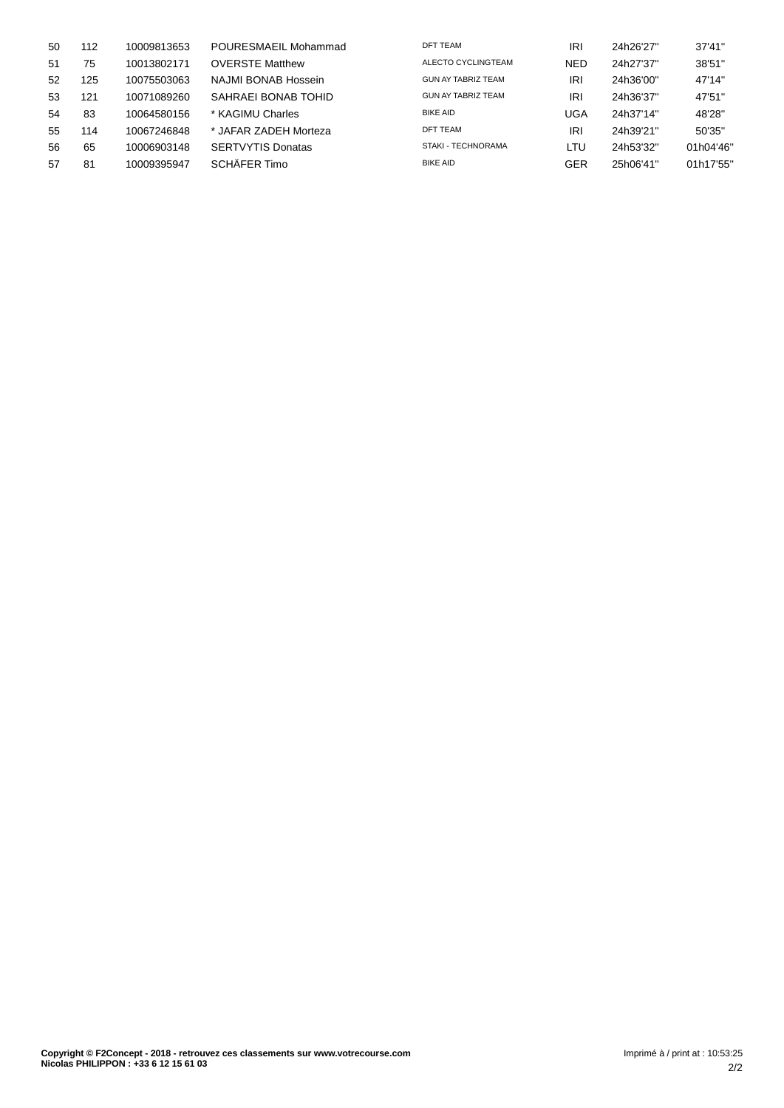| 50 | 112 | 10009813653 | POURESMAEIL Mohammad     | DFT TEAM                  | IRI        | 24h26'27" | 37'41"    |
|----|-----|-------------|--------------------------|---------------------------|------------|-----------|-----------|
| 51 | 75  | 10013802171 | <b>OVERSTE Matthew</b>   | ALECTO CYCLINGTEAM        | <b>NED</b> | 24h27'37" | 38'51"    |
| 52 | 125 | 10075503063 | NAJMI BONAB Hossein      | <b>GUN AY TABRIZ TEAM</b> | IRI        | 24h36'00" | 47'14"    |
| 53 | 121 | 10071089260 | SAHRAEI BONAB TOHID      | GUN AY TABRIZ TEAM        | IRI        | 24h36'37" | 47'51"    |
| 54 | 83  | 10064580156 | * KAGIMU Charles         | <b>BIKE AID</b>           | UGA        | 24h37'14" | 48'28"    |
| 55 | 114 | 10067246848 | * JAFAR ZADEH Morteza    | DFT TEAM                  | IRI        | 24h39'21" | 50'35"    |
| 56 | 65  | 10006903148 | <b>SERTVYTIS Donatas</b> | STAKI - TECHNORAMA        | LTU        | 24h53'32" | 01h04'46" |
| 57 | 81  | 10009395947 | SCHÄFER Timo             | <b>BIKE AID</b>           | GER        | 25h06'41" | 01h17'55" |
|    |     |             |                          |                           |            |           |           |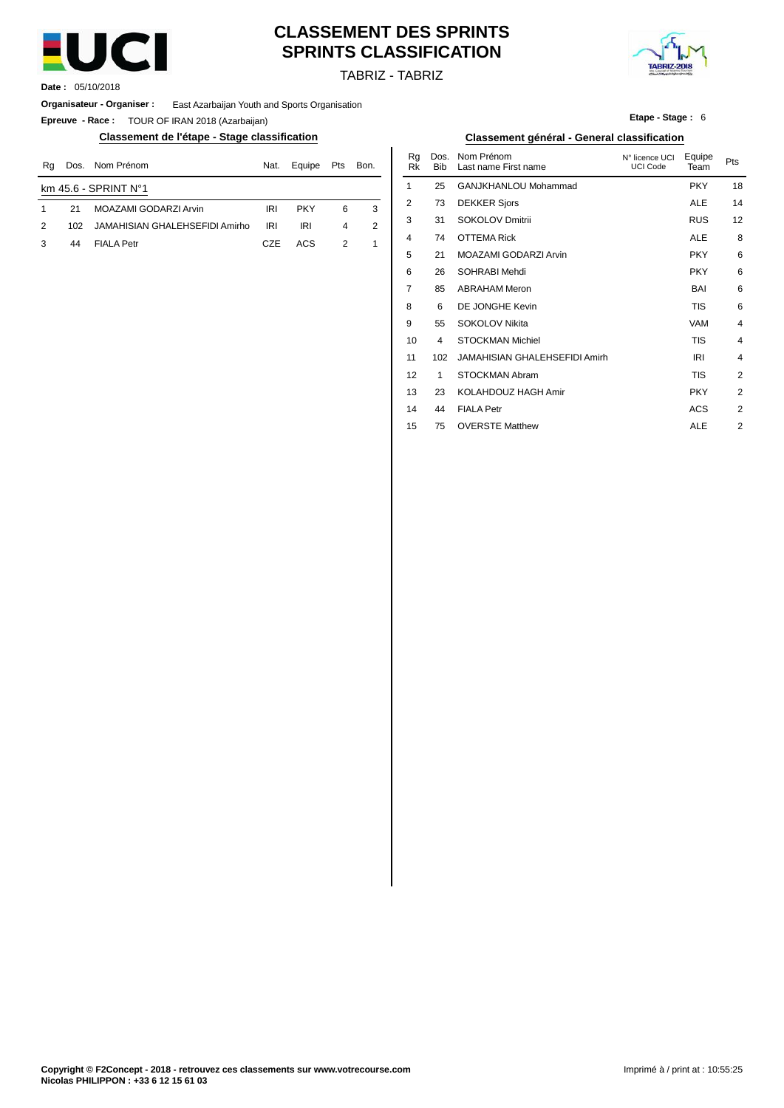

# **CLASSEMENT DES SPRINTS SPRINTS CLASSIFICATION**



TABRIZ - TABRIZ

**Date :** 05/10/2018

**Organisateur - Organiser :** East Azarbaijan Youth and Sports Organisation

**Epreuve - Race :** TOUR OF IRAN 2018 (Azarbaijan)

#### **Classement de l'étape - Stage classification Classement général - General classification**

| Rq | Dos. | Nom Prénom                     | Nat.       | Equipe     | Pts | Bon. | nu<br>Rk | . כטש<br><b>Bib</b> | 1101111115110111<br>Last name First name | <b>IN TIGHTLE UCT</b><br>UCI Code | Lyupe<br>Team | Pts |
|----|------|--------------------------------|------------|------------|-----|------|----------|---------------------|------------------------------------------|-----------------------------------|---------------|-----|
|    |      | km $45.6 - SPRINT No1$         |            |            |     |      |          | 25                  | GANJKHANLOU Mohammad                     |                                   | <b>PKY</b>    | 18  |
|    | 21   | MOAZAMI GODARZI Arvin          | <b>IRI</b> | <b>PKY</b> | 6   |      |          |                     | <b>DEKKER Sjors</b>                      |                                   | ALE           | 14  |
| 2  | 102  | JAMAHISIAN GHALEHSEFIDI Amirho | <b>IRI</b> | IRI        |     | 2    |          | 31                  | SOKOLOV Dmitrii                          |                                   | <b>RUS</b>    | 12  |
|    | 44   | <b>FIALA Petr</b>              | CZE        | <b>ACS</b> |     |      | 4        | 74                  | <b>OTTEMA Rick</b>                       |                                   | <b>ALE</b>    |     |

**Etape - Stage :** 6

| Nom Prénom                     | Nat.       | Equipe     | Pts | Bon.           | Rq<br>Rk    | Dos.<br><b>Bib</b> | Nom Prénom<br>Last name First name | N° licence UCI<br>UCI Code | Equipe<br>Team | Pts |
|--------------------------------|------------|------------|-----|----------------|-------------|--------------------|------------------------------------|----------------------------|----------------|-----|
| PRINT N°1                      |            |            |     |                | $\mathbf 1$ | 25                 | GANJKHANLOU Mohammad               |                            | <b>PKY</b>     | 18  |
| MOAZAMI GODARZI Arvin          | <b>IRI</b> | <b>PKY</b> | 6   | 3              | 2           | 73                 | <b>DEKKER Sjors</b>                |                            | <b>ALE</b>     | 14  |
| JAMAHISIAN GHALEHSEFIDI Amirho | IRI        | <b>IRI</b> | 4   | $\overline{2}$ | 3           | 31                 | <b>SOKOLOV Dmitrii</b>             |                            | <b>RUS</b>     | 12  |
| <b>FIALA Petr</b>              | CZE        | ACS        | 2   | 1              | 4           | 74                 | <b>OTTEMA Rick</b>                 |                            | <b>ALE</b>     | 8   |
|                                |            |            |     |                | 5           | 21                 | MOAZAMI GODARZI Arvin              |                            | <b>PKY</b>     | 6   |
|                                |            |            |     |                | 6           | 26                 | SOHRABI Mehdi                      |                            | <b>PKY</b>     | 6   |
|                                |            |            |     |                | 7           | 85                 | <b>ABRAHAM Meron</b>               |                            | BAI            | 6   |
|                                |            |            |     |                | 8           | 6                  | DE JONGHE Kevin                    |                            | TIS            | 6   |
|                                |            |            |     |                | 9           | 55                 | SOKOLOV Nikita                     |                            | VAM            | 4   |
|                                |            |            |     |                | 10          | $\overline{4}$     | <b>STOCKMAN Michiel</b>            |                            | <b>TIS</b>     | 4   |
|                                |            |            |     |                | 11          | 102                | JAMAHISIAN GHALEHSEFIDI Amirh      |                            | IRI            | 4   |
|                                |            |            |     |                | 12          | 1                  | <b>STOCKMAN Abram</b>              |                            | <b>TIS</b>     | 2   |
|                                |            |            |     |                | 13          | 23                 | KOLAHDOUZ HAGH Amir                |                            | <b>PKY</b>     | 2   |
|                                |            |            |     |                | 14          | 44                 | <b>FIALA Petr</b>                  |                            | <b>ACS</b>     | 2   |
|                                |            |            |     |                | 15          | 75                 | <b>OVERSTE Matthew</b>             |                            | <b>ALE</b>     | 2   |
|                                |            |            |     |                |             |                    |                                    |                            |                |     |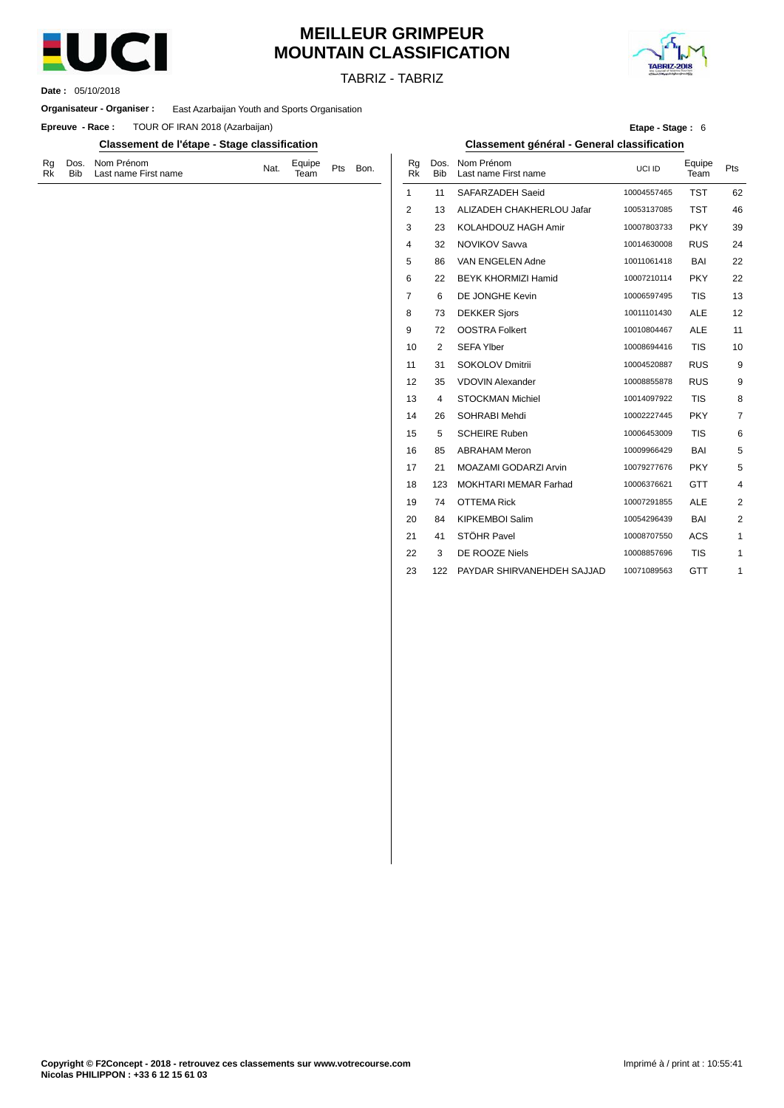

# **MEILLEUR GRIMPEUR MOUNTAIN CLASSIFICATION**

TABRIZ - TABRIZ



05/10/2018 **Date :**

#### **Organisateur - Organiser :** East Azarbaijan Youth and Sports Organisation

**Epreuve - Race:** TOUR OF IRAN 2018 (Azarbaijan)

#### **Classement de l'étape - Stage classification Classement général - General classification**

| Rg Dos. Nom Prénom<br>Bib Last name First name<br>Rk | Nat. | Equipe <sub>Pts</sub><br>Team <sup>Pts</sup> |  | Bon. |
|------------------------------------------------------|------|----------------------------------------------|--|------|
|------------------------------------------------------|------|----------------------------------------------|--|------|

|      |    |                                                | Etape - Stage: 6 |                |     |
|------|----|------------------------------------------------|------------------|----------------|-----|
|      |    | Classement général - General classification    |                  |                |     |
| Bon. | Rk | Rq Dos. Nom Prénom<br>Bib Last name First name | UCLID            | Equipe<br>Team | Pts |

| кĸ. | טוס | Last name First name       |             | ream       |                |
|-----|-----|----------------------------|-------------|------------|----------------|
| 1   | 11  | SAFARZADEH Saeid           | 10004557465 | <b>TST</b> | 62             |
| 2   | 13  | ALIZADEH CHAKHERLOU Jafar  | 10053137085 | <b>TST</b> | 46             |
| 3   | 23  | KOLAHDOUZ HAGH Amir        | 10007803733 | <b>PKY</b> | 39             |
| 4   | 32  | <b>NOVIKOV Savva</b>       | 10014630008 | <b>RUS</b> | 24             |
| 5   | 86  | VAN ENGELEN Adne           | 10011061418 | BAI        | 22             |
| 6   | 22  | <b>BEYK KHORMIZI Hamid</b> | 10007210114 | <b>PKY</b> | 22             |
| 7   | 6   | DE JONGHE Kevin            | 10006597495 | <b>TIS</b> | 13             |
| 8   | 73  | <b>DEKKER Sjors</b>        | 10011101430 | <b>ALE</b> | 12             |
| 9   | 72  | <b>OOSTRA Folkert</b>      | 10010804467 | <b>ALE</b> | 11             |
| 10  | 2   | <b>SEFA Ylber</b>          | 10008694416 | <b>TIS</b> | 10             |
| 11  | 31  | SOKOLOV Dmitrii            | 10004520887 | <b>RUS</b> | 9              |
| 12  | 35  | <b>VDOVIN Alexander</b>    | 10008855878 | <b>RUS</b> | 9              |
| 13  | 4   | <b>STOCKMAN Michiel</b>    | 10014097922 | <b>TIS</b> | 8              |
| 14  | 26  | SOHRABI Mehdi              | 10002227445 | <b>PKY</b> | 7              |
| 15  | 5   | <b>SCHEIRE Ruben</b>       | 10006453009 | <b>TIS</b> | 6              |
| 16  | 85  | <b>ABRAHAM Meron</b>       | 10009966429 | BAI        | 5              |
| 17  | 21  | MOAZAMI GODARZI Arvin      | 10079277676 | <b>PKY</b> | 5              |
| 18  | 123 | MOKHTARI MEMAR Farhad      | 10006376621 | <b>GTT</b> | $\overline{4}$ |
| 19  | 74  | <b>OTTEMA Rick</b>         | 10007291855 | <b>ALE</b> | 2              |
| 20  | 84  | <b>KIPKEMBOI Salim</b>     | 10054296439 | BAI        | 2              |
| 21  | 41  | STÖHR Pavel                | 10008707550 | <b>ACS</b> | 1              |
| 22  | 3   | DE ROOZE Niels             | 10008857696 | <b>TIS</b> | 1              |
| 23  | 122 | PAYDAR SHIRVANEHDEH SAJJAD | 10071089563 | <b>GTT</b> | 1              |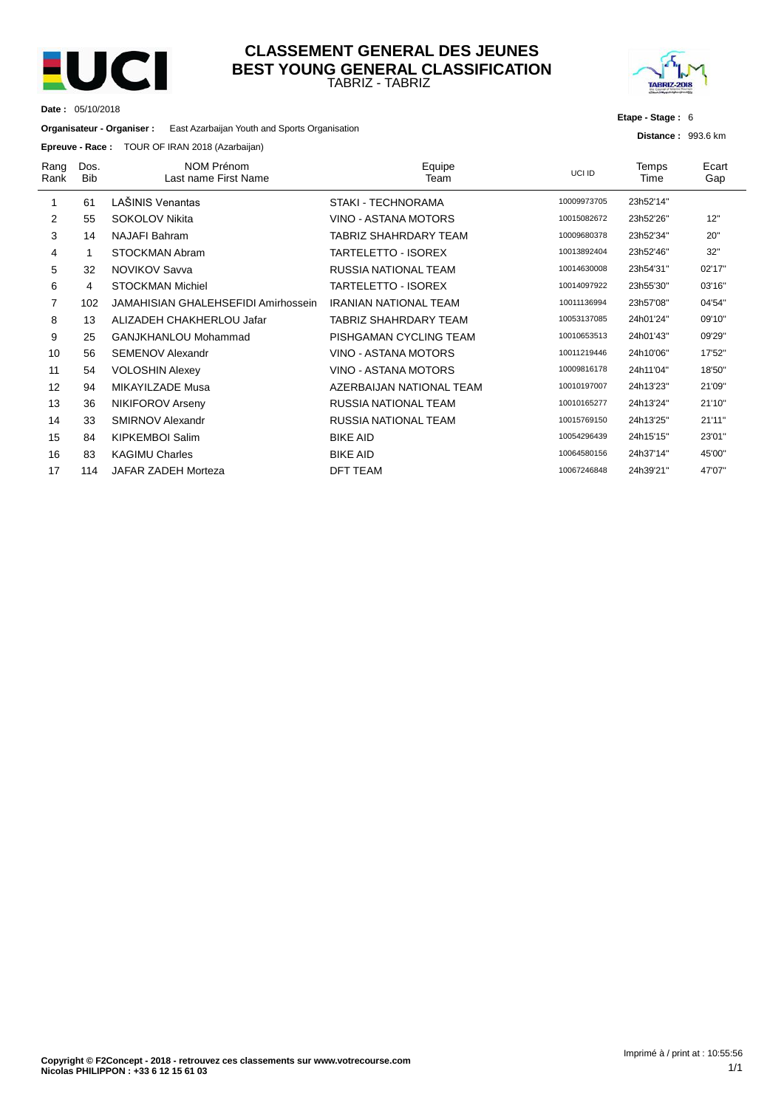

**Date :** 05/10/2018

#### TABRIZ - TABRIZ **CLASSEMENT GENERAL DES JEUNES BEST YOUNG GENERAL CLASSIFICATION**



**Etape - Stage :** 6

**Distance :** 993.6 km

**Organisateur - Organiser :** East Azarbaijan Youth and Sports Organisation

#### **Epreuve - Race :** TOUR OF IRAN 2018 (Azarbaijan)

| Rang<br>Rank | Dos.<br><b>Bib</b> | NOM Prénom<br>Last name First Name         | Equipe<br>Team               | UCI ID      | Temps<br>Time | Ecart<br>Gap |
|--------------|--------------------|--------------------------------------------|------------------------------|-------------|---------------|--------------|
| 1            | 61                 | LAŠINIS Venantas                           | STAKI - TECHNORAMA           | 10009973705 | 23h52'14"     |              |
| 2            | 55                 | <b>SOKOLOV Nikita</b>                      | VINO - ASTANA MOTORS         | 10015082672 | 23h52'26"     | 12"          |
| 3            | 14                 | <b>NAJAFI Bahram</b>                       | TABRIZ SHAHRDARY TEAM        | 10009680378 | 23h52'34"     | 20"          |
| 4            |                    | STOCKMAN Abram                             | <b>TARTELETTO - ISOREX</b>   | 10013892404 | 23h52'46"     | 32"          |
| 5            | 32                 | <b>NOVIKOV Savva</b>                       | <b>RUSSIA NATIONAL TEAM</b>  | 10014630008 | 23h54'31"     | 02'17"       |
| 6            | 4                  | <b>STOCKMAN Michiel</b>                    | TARTELETTO - ISOREX          | 10014097922 | 23h55'30"     | 03'16"       |
| 7            | 102                | <b>JAMAHISIAN GHALEHSEFIDI Amirhossein</b> | <b>IRANIAN NATIONAL TEAM</b> | 10011136994 | 23h57'08"     | 04'54"       |
| 8            | 13                 | ALIZADEH CHAKHERLOU Jafar                  | TABRIZ SHAHRDARY TEAM        | 10053137085 | 24h01'24"     | 09'10"       |
| 9            | 25                 | GANJKHANLOU Mohammad                       | PISHGAMAN CYCLING TEAM       | 10010653513 | 24h01'43"     | 09'29"       |
| 10           | 56                 | <b>SEMENOV Alexandr</b>                    | VINO - ASTANA MOTORS         | 10011219446 | 24h10'06"     | 17'52"       |
| 11           | 54                 | <b>VOLOSHIN Alexey</b>                     | VINO - ASTANA MOTORS         | 10009816178 | 24h11'04"     | 18'50"       |
| 12           | 94                 | MIKAYILZADE Musa                           | AZERBAIJAN NATIONAL TEAM     | 10010197007 | 24h13'23"     | 21'09"       |
| 13           | 36                 | NIKIFOROV Arseny                           | RUSSIA NATIONAL TEAM         | 10010165277 | 24h13'24"     | 21'10"       |
| 14           | 33                 | <b>SMIRNOV Alexandr</b>                    | RUSSIA NATIONAL TEAM         | 10015769150 | 24h13'25"     | 21'11"       |
| 15           | 84                 | <b>KIPKEMBOI Salim</b>                     | <b>BIKE AID</b>              | 10054296439 | 24h15'15"     | 23'01"       |
| 16           | 83                 | <b>KAGIMU Charles</b>                      | <b>BIKE AID</b>              | 10064580156 | 24h37'14"     | 45'00"       |
| 17           | 114                | JAFAR ZADEH Morteza                        | <b>DFT TEAM</b>              | 10067246848 | 24h39'21"     | 47'07"       |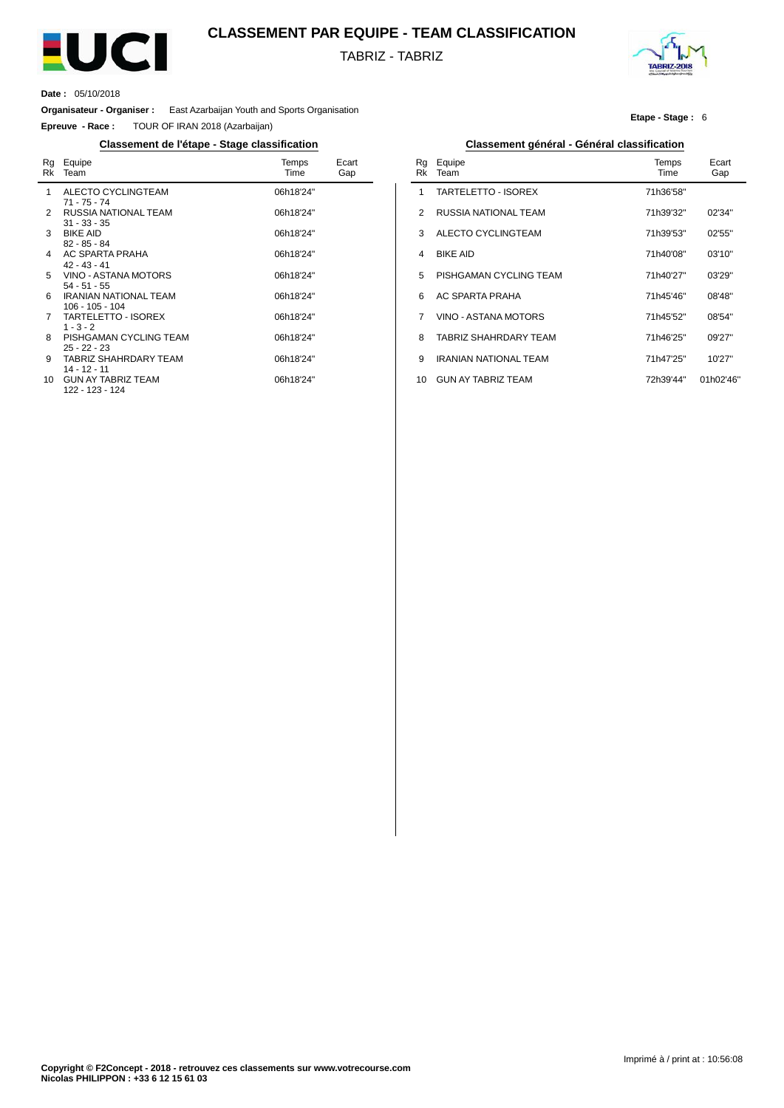

#### **CLASSEMENT PAR EQUIPE - TEAM CLASSIFICATION**

TABRIZ - TABRIZ



**Etape - Stage :** 6

**Date :** 05/10/2018

 $\overline{a}$ 

**Organisateur - Organiser :** East Azarbaijan Youth and Sports Organisation

**Epreuve - Race :** TOUR OF IRAN 2018 (Azarbaijan)

#### **Classement de l'étape - Stage classification Classement général - Général classification**

| Rg<br>Rk    | Equipe<br>Team                                  | Temps<br>Time | Ecart<br>Gap |
|-------------|-------------------------------------------------|---------------|--------------|
| $\mathbf 1$ | ALECTO CYCLINGTEAM<br>$71 - 75 - 74$            | 06h18'24"     |              |
|             | 2 RUSSIA NATIONAL TEAM<br>$31 - 33 - 35$        | 06h18'24"     |              |
| 3           | <b>BIKE AID</b><br>$82 - 85 - 84$               | 06h18'24"     |              |
| 4           | AC SPARTA PRAHA<br>$42 - 43 - 41$               | 06h18'24"     |              |
| 5           | VINO - ASTANA MOTORS<br>$54 - 51 - 55$          | 06h18'24"     |              |
| 6           | <b>IRANIAN NATIONAL TEAM</b><br>106 - 105 - 104 | 06h18'24"     |              |
| $7^{\circ}$ | TARTELETTO - ISOREX<br>$1 - 3 - 2$              | 06h18'24"     |              |
| 8           | PISHGAMAN CYCLING TEAM<br>$25 - 22 - 23$        | 06h18'24"     |              |
| 9           | TABRIZ SHAHRDARY TEAM<br>$14 - 12 - 11$         | 06h18'24"     |              |
|             | 10 GUN AY TABRIZ TEAM<br>122 - 123 - 124        | 06h18'24"     |              |

| Rg<br>Rk | Equipe<br>Team               | Temps<br>Time | Ecart<br>Gap |
|----------|------------------------------|---------------|--------------|
| 1        | TARTELETTO - ISOREX          | 71h36'58"     |              |
| 2        | RUSSIA NATIONAL TEAM         | 71h39'32"     | 02'34"       |
| 3        | ALECTO CYCLINGTEAM           | 71h39'53"     | 02'55"       |
| 4        | <b>BIKE AID</b>              | 71h40'08"     | 03'10''      |
| 5        | PISHGAMAN CYCLING TEAM       | 71h40'27"     | 03'29"       |
| 6        | <b>AC SPARTA PRAHA</b>       | 71h45'46"     | 08'48"       |
| 7        | VINO - ASTANA MOTORS         | 71h45'52"     | 08'54"       |
| 8        | TABRIZ SHAHRDARY TEAM        | 71h46'25"     | 09'27"       |
| 9        | <b>IRANIAN NATIONAL TEAM</b> | 71h47'25"     | 10'27"       |
| 10       | <b>GUN AY TABRIZ TEAM</b>    | 72h39'44"     | 01h02'46"    |